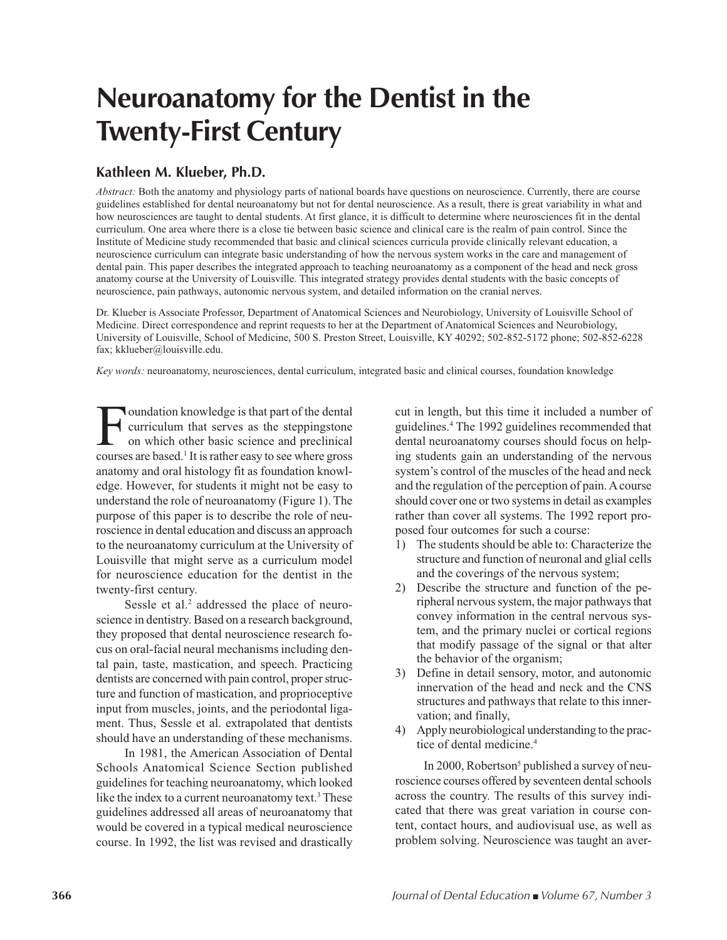## **Neuroanatomy for the Dentist in the Twenty-First Century**

## **Kathleen M. Klueber, Ph.D.**

*Abstract:* Both the anatomy and physiology parts of national boards have questions on neuroscience. Currently, there are course guidelines established for dental neuroanatomy but not for dental neuroscience. As a result, there is great variability in what and how neurosciences are taught to dental students. At first glance, it is difficult to determine where neurosciences fit in the dental curriculum. One area where there is a close tie between basic science and clinical care is the realm of pain control. Since the Institute of Medicine study recommended that basic and clinical sciences curricula provide clinically relevant education, a neuroscience curriculum can integrate basic understanding of how the nervous system works in the care and management of dental pain. This paper describes the integrated approach to teaching neuroanatomy as a component of the head and neck gross anatomy course at the University of Louisville. This integrated strategy provides dental students with the basic concepts of neuroscience, pain pathways, autonomic nervous system, and detailed information on the cranial nerves.

Dr. Klueber is Associate Professor, Department of Anatomical Sciences and Neurobiology, University of Louisville School of Medicine. Direct correspondence and reprint requests to her at the Department of Anatomical Sciences and Neurobiology, University of Louisville, School of Medicine, 500 S. Preston Street, Louisville, KY 40292; 502-852-5172 phone; 502-852-6228 fax; kklueber@louisville.edu.

*Key words:* neuroanatomy, neurosciences, dental curriculum, integrated basic and clinical courses, foundation knowledge

Foundation knowledge is that part of the dental<br>curriculum that serves as the steppingstone<br>on which other basic science and preclinical<br>courses are based <sup>1</sup> It is rather easy to see where gross curriculum that serves as the steppingstone on which other basic science and preclinical courses are based.1 It is rather easy to see where gross anatomy and oral histology fit as foundation knowledge. However, for students it might not be easy to understand the role of neuroanatomy (Figure 1). The purpose of this paper is to describe the role of neuroscience in dental education and discuss an approach to the neuroanatomy curriculum at the University of Louisville that might serve as a curriculum model for neuroscience education for the dentist in the twenty-first century.

Sessle et al.<sup>2</sup> addressed the place of neuroscience in dentistry. Based on a research background, they proposed that dental neuroscience research focus on oral-facial neural mechanisms including dental pain, taste, mastication, and speech. Practicing dentists are concerned with pain control, proper structure and function of mastication, and proprioceptive input from muscles, joints, and the periodontal ligament. Thus, Sessle et al. extrapolated that dentists should have an understanding of these mechanisms.

In 1981, the American Association of Dental Schools Anatomical Science Section published guidelines for teaching neuroanatomy, which looked like the index to a current neuroanatomy text.<sup>3</sup> These guidelines addressed all areas of neuroanatomy that would be covered in a typical medical neuroscience course. In 1992, the list was revised and drastically

cut in length, but this time it included a number of guidelines.4 The 1992 guidelines recommended that dental neuroanatomy courses should focus on helping students gain an understanding of the nervous system's control of the muscles of the head and neck and the regulation of the perception of pain. A course should cover one or two systems in detail as examples rather than cover all systems. The 1992 report proposed four outcomes for such a course:

- 1) The students should be able to: Characterize the structure and function of neuronal and glial cells and the coverings of the nervous system;
- 2) Describe the structure and function of the peripheral nervous system, the major pathways that convey information in the central nervous system, and the primary nuclei or cortical regions that modify passage of the signal or that alter the behavior of the organism;
- 3) Define in detail sensory, motor, and autonomic innervation of the head and neck and the CNS structures and pathways that relate to this innervation; and finally,
- 4) Apply neurobiological understanding to the practice of dental medicine.4

In 2000, Robertson<sup>5</sup> published a survey of neuroscience courses offered by seventeen dental schools across the country. The results of this survey indicated that there was great variation in course content, contact hours, and audiovisual use, as well as problem solving. Neuroscience was taught an aver-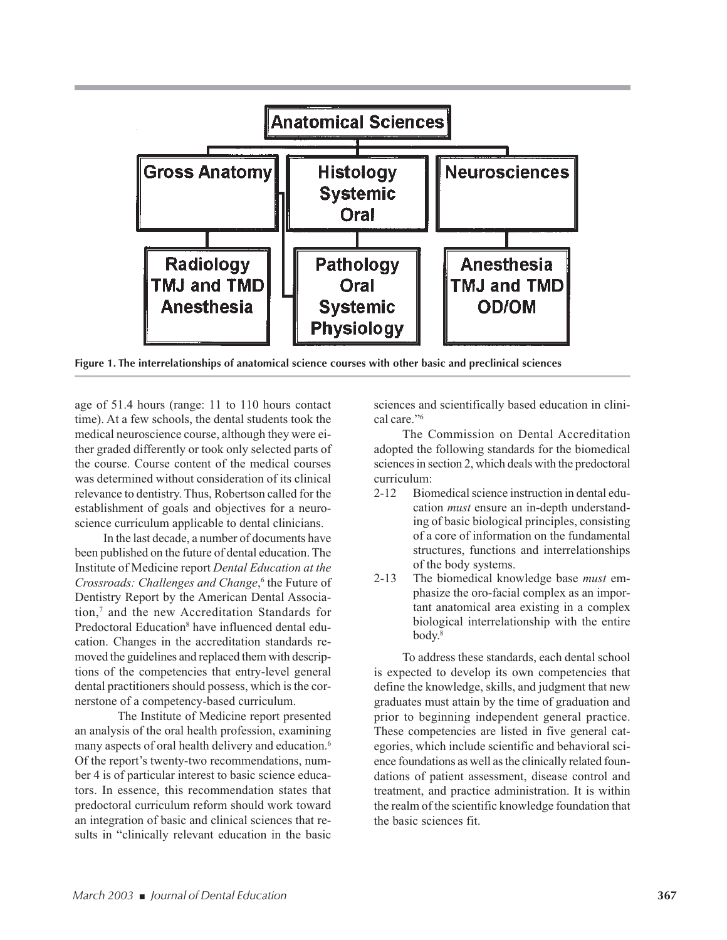

**Figure 1. The interrelationships of anatomical science courses with other basic and preclinical sciences**

age of 51.4 hours (range: 11 to 110 hours contact time). At a few schools, the dental students took the medical neuroscience course, although they were either graded differently or took only selected parts of the course. Course content of the medical courses was determined without consideration of its clinical relevance to dentistry. Thus, Robertson called for the establishment of goals and objectives for a neuroscience curriculum applicable to dental clinicians.

In the last decade, a number of documents have been published on the future of dental education. The Institute of Medicine report *Dental Education at the Crossroads: Challenges and Change*, <sup>6</sup> the Future of Dentistry Report by the American Dental Association,7 and the new Accreditation Standards for Predoctoral Education<sup>8</sup> have influenced dental education. Changes in the accreditation standards removed the guidelines and replaced them with descriptions of the competencies that entry-level general dental practitioners should possess, which is the cornerstone of a competency-based curriculum.

The Institute of Medicine report presented an analysis of the oral health profession, examining many aspects of oral health delivery and education.<sup>6</sup> Of the report's twenty-two recommendations, number 4 is of particular interest to basic science educators. In essence, this recommendation states that predoctoral curriculum reform should work toward an integration of basic and clinical sciences that results in "clinically relevant education in the basic

sciences and scientifically based education in clinical care."6

The Commission on Dental Accreditation adopted the following standards for the biomedical sciences in section 2, which deals with the predoctoral curriculum:

- 2-12 Biomedical science instruction in dental education *must* ensure an in-depth understanding of basic biological principles, consisting of a core of information on the fundamental structures, functions and interrelationships of the body systems.
- 2-13 The biomedical knowledge base *must* emphasize the oro-facial complex as an important anatomical area existing in a complex biological interrelationship with the entire body.8

To address these standards, each dental school is expected to develop its own competencies that define the knowledge, skills, and judgment that new graduates must attain by the time of graduation and prior to beginning independent general practice. These competencies are listed in five general categories, which include scientific and behavioral science foundations as well as the clinically related foundations of patient assessment, disease control and treatment, and practice administration. It is within the realm of the scientific knowledge foundation that the basic sciences fit.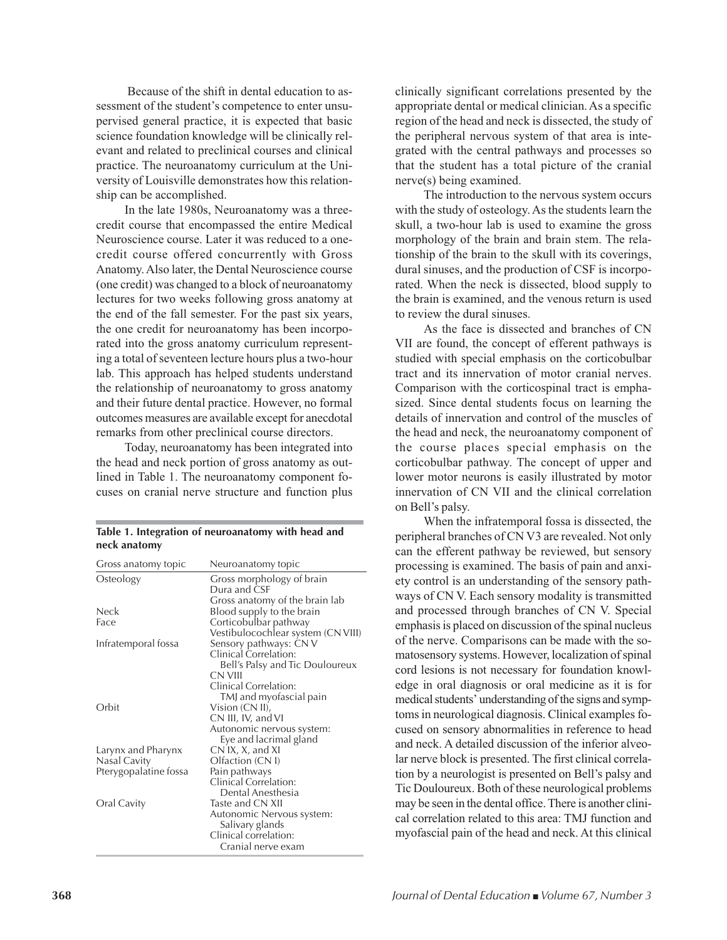Because of the shift in dental education to assessment of the student's competence to enter unsupervised general practice, it is expected that basic science foundation knowledge will be clinically relevant and related to preclinical courses and clinical practice. The neuroanatomy curriculum at the University of Louisville demonstrates how this relationship can be accomplished.

In the late 1980s, Neuroanatomy was a threecredit course that encompassed the entire Medical Neuroscience course. Later it was reduced to a onecredit course offered concurrently with Gross Anatomy. Also later, the Dental Neuroscience course (one credit) was changed to a block of neuroanatomy lectures for two weeks following gross anatomy at the end of the fall semester. For the past six years, the one credit for neuroanatomy has been incorporated into the gross anatomy curriculum representing a total of seventeen lecture hours plus a two-hour lab. This approach has helped students understand the relationship of neuroanatomy to gross anatomy and their future dental practice. However, no formal outcomes measures are available except for anecdotal remarks from other preclinical course directors.

Today, neuroanatomy has been integrated into the head and neck portion of gross anatomy as outlined in Table 1. The neuroanatomy component focuses on cranial nerve structure and function plus

| --- -----------       |                                                                             |
|-----------------------|-----------------------------------------------------------------------------|
| Gross anatomy topic   | Neuroanatomy topic                                                          |
| Osteology             | Gross morphology of brain<br>Dura and CSF<br>Gross anatomy of the brain lab |
| Neck                  | Blood supply to the brain                                                   |
| Face                  | Corticobulbar pathway                                                       |
|                       | Vestibulocochlear system (CN VIII)                                          |
| Infratemporal fossa   | Sensory pathways: CN V                                                      |
|                       | Clinical Correlation:                                                       |
|                       | Bell's Palsy and Tic Douloureux                                             |
|                       | CN VIII                                                                     |
|                       | Clinical Correlation:                                                       |
|                       | TMJ and myofascial pain                                                     |
| Orbit                 | Vision (CN II),                                                             |
|                       | CN III, IV, and VI                                                          |
|                       | Autonomic nervous system:                                                   |
|                       | Eye and lacrimal gland                                                      |
| Larynx and Pharynx    | CN IX, X, and XI                                                            |
| Nasal Cavity          | Olfaction (CN I)                                                            |
| Pterygopalatine fossa | Pain pathways                                                               |
|                       | Clinical Correlation:                                                       |
|                       | Dental Anesthesia                                                           |
| Oral Cavity           | Taste and CN XII                                                            |
|                       | Autonomic Nervous system:                                                   |
|                       | Salivary glands                                                             |
|                       | Clinical correlation:                                                       |
|                       | Cranial nerve exam                                                          |

| Table 1. Integration of neuroanatomy with head and |  |  |  |
|----------------------------------------------------|--|--|--|
| neck anatomy                                       |  |  |  |

clinically significant correlations presented by the appropriate dental or medical clinician. As a specific region of the head and neck is dissected, the study of the peripheral nervous system of that area is integrated with the central pathways and processes so that the student has a total picture of the cranial nerve(s) being examined.

The introduction to the nervous system occurs with the study of osteology. As the students learn the skull, a two-hour lab is used to examine the gross morphology of the brain and brain stem. The relationship of the brain to the skull with its coverings, dural sinuses, and the production of CSF is incorporated. When the neck is dissected, blood supply to the brain is examined, and the venous return is used to review the dural sinuses.

As the face is dissected and branches of CN VII are found, the concept of efferent pathways is studied with special emphasis on the corticobulbar tract and its innervation of motor cranial nerves. Comparison with the corticospinal tract is emphasized. Since dental students focus on learning the details of innervation and control of the muscles of the head and neck, the neuroanatomy component of the course places special emphasis on the corticobulbar pathway. The concept of upper and lower motor neurons is easily illustrated by motor innervation of CN VII and the clinical correlation on Bell's palsy.

When the infratemporal fossa is dissected, the peripheral branches of CN V3 are revealed. Not only can the efferent pathway be reviewed, but sensory processing is examined. The basis of pain and anxiety control is an understanding of the sensory pathways of CN V. Each sensory modality is transmitted and processed through branches of CN V. Special emphasis is placed on discussion of the spinal nucleus of the nerve. Comparisons can be made with the somatosensory systems. However, localization of spinal cord lesions is not necessary for foundation knowledge in oral diagnosis or oral medicine as it is for medical students' understanding of the signs and symptoms in neurological diagnosis. Clinical examples focused on sensory abnormalities in reference to head and neck. A detailed discussion of the inferior alveolar nerve block is presented. The first clinical correlation by a neurologist is presented on Bell's palsy and Tic Douloureux. Both of these neurological problems may be seen in the dental office. There is another clinical correlation related to this area: TMJ function and myofascial pain of the head and neck. At this clinical